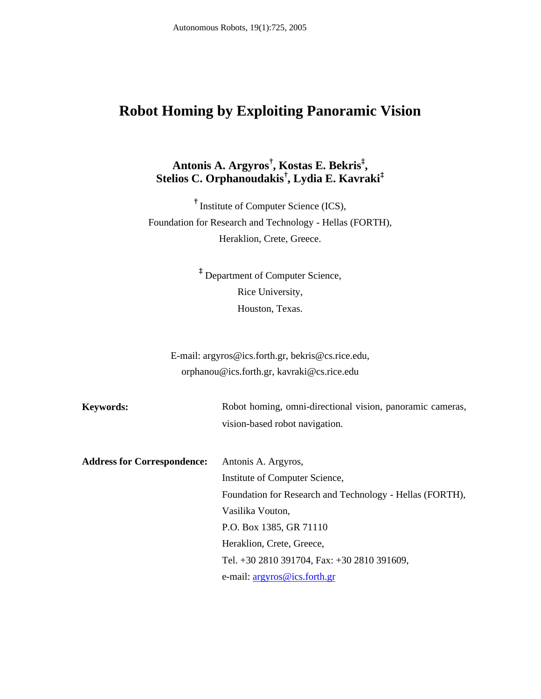### **Robot Homing by Exploiting Panoramic Vision**

### **Antonis A. Argyros† , Kostas E. Bekris‡ , Stelios C. Orphanoudakis† , Lydia E. Kavraki‡**

**†** Institute of Computer Science (ICS), Foundation for Research and Technology - Hellas (FORTH), Heraklion, Crete, Greece.

> **‡** Department of Computer Science, Rice University, Houston, Texas.

E-mail: argyros@ics.forth.gr, bekris@cs.rice.edu, orphanou@ics.forth.gr, kavraki@cs.rice.edu

**Keywords:** Robot homing, omni-directional vision, panoramic cameras, vision-based robot navigation.

**Address for Correspondence:** Antonis A. Argyros, Institute of Computer Science, Foundation for Research and Technology - Hellas (FORTH), Vasilika Vouton, P.O. Box 1385, GR 71110 Heraklion, Crete, Greece, Tel. +30 2810 391704, Fax: +30 2810 391609, e-mail: argyros@ics.forth.gr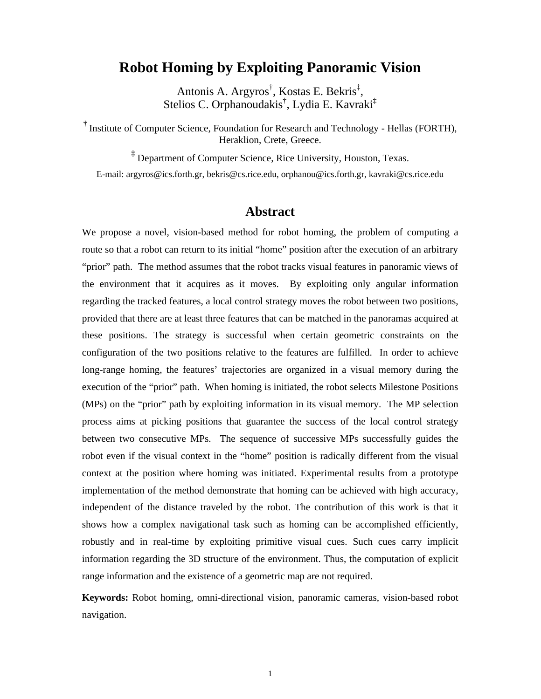### **Robot Homing by Exploiting Panoramic Vision**

Antonis A. Argyros<sup>†</sup>, Kostas E. Bekris<sup>‡</sup>, Stelios C. Orphanoudakis<sup>†</sup>, Lydia E. Kavraki<sup>‡</sup>

**†** Institute of Computer Science, Foundation for Research and Technology - Hellas (FORTH), Heraklion, Crete, Greece.

**‡** Department of Computer Science, Rice University, Houston, Texas.

E-mail: argyros@ics.forth.gr, bekris@cs.rice.edu, orphanou@ics.forth.gr, kavraki@cs.rice.edu

#### **Abstract**

We propose a novel, vision-based method for robot homing, the problem of computing a route so that a robot can return to its initial "home" position after the execution of an arbitrary "prior" path. The method assumes that the robot tracks visual features in panoramic views of the environment that it acquires as it moves. By exploiting only angular information regarding the tracked features, a local control strategy moves the robot between two positions, provided that there are at least three features that can be matched in the panoramas acquired at these positions. The strategy is successful when certain geometric constraints on the configuration of the two positions relative to the features are fulfilled. In order to achieve long-range homing, the features' trajectories are organized in a visual memory during the execution of the "prior" path. When homing is initiated, the robot selects Milestone Positions (MPs) on the "prior" path by exploiting information in its visual memory. The MP selection process aims at picking positions that guarantee the success of the local control strategy between two consecutive MPs. The sequence of successive MPs successfully guides the robot even if the visual context in the "home" position is radically different from the visual context at the position where homing was initiated. Experimental results from a prototype implementation of the method demonstrate that homing can be achieved with high accuracy, independent of the distance traveled by the robot. The contribution of this work is that it shows how a complex navigational task such as homing can be accomplished efficiently, robustly and in real-time by exploiting primitive visual cues. Such cues carry implicit information regarding the 3D structure of the environment. Thus, the computation of explicit range information and the existence of a geometric map are not required.

**Keywords:** Robot homing, omni-directional vision, panoramic cameras, vision-based robot navigation.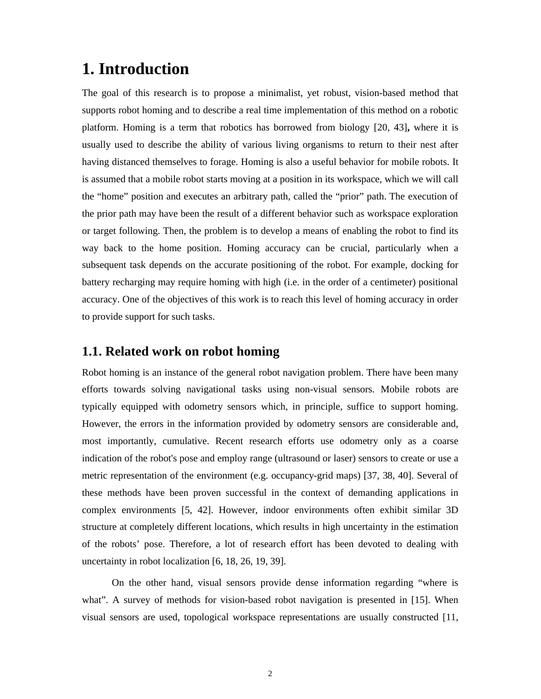# **1. Introduction**

The goal of this research is to propose a minimalist, yet robust, vision-based method that supports robot homing and to describe a real time implementation of this method on a robotic platform. Homing is a term that robotics has borrowed from biology [20, 43]**,** where it is usually used to describe the ability of various living organisms to return to their nest after having distanced themselves to forage. Homing is also a useful behavior for mobile robots. It is assumed that a mobile robot starts moving at a position in its workspace, which we will call the "home" position and executes an arbitrary path, called the "prior" path. The execution of the prior path may have been the result of a different behavior such as workspace exploration or target following. Then, the problem is to develop a means of enabling the robot to find its way back to the home position. Homing accuracy can be crucial, particularly when a subsequent task depends on the accurate positioning of the robot. For example, docking for battery recharging may require homing with high (i.e. in the order of a centimeter) positional accuracy. One of the objectives of this work is to reach this level of homing accuracy in order to provide support for such tasks.

#### **1.1. Related work on robot homing**

Robot homing is an instance of the general robot navigation problem. There have been many efforts towards solving navigational tasks using non-visual sensors. Mobile robots are typically equipped with odometry sensors which, in principle, suffice to support homing. However, the errors in the information provided by odometry sensors are considerable and, most importantly, cumulative. Recent research efforts use odometry only as a coarse indication of the robot's pose and employ range (ultrasound or laser) sensors to create or use a metric representation of the environment (e.g. occupancy-grid maps) [37, 38, 40]. Several of these methods have been proven successful in the context of demanding applications in complex environments [5, 42]. However, indoor environments often exhibit similar 3D structure at completely different locations, which results in high uncertainty in the estimation of the robots' pose. Therefore, a lot of research effort has been devoted to dealing with uncertainty in robot localization [6, 18, 26, 19, 39].

On the other hand, visual sensors provide dense information regarding "where is what". A survey of methods for vision-based robot navigation is presented in [15]. When visual sensors are used, topological workspace representations are usually constructed [11,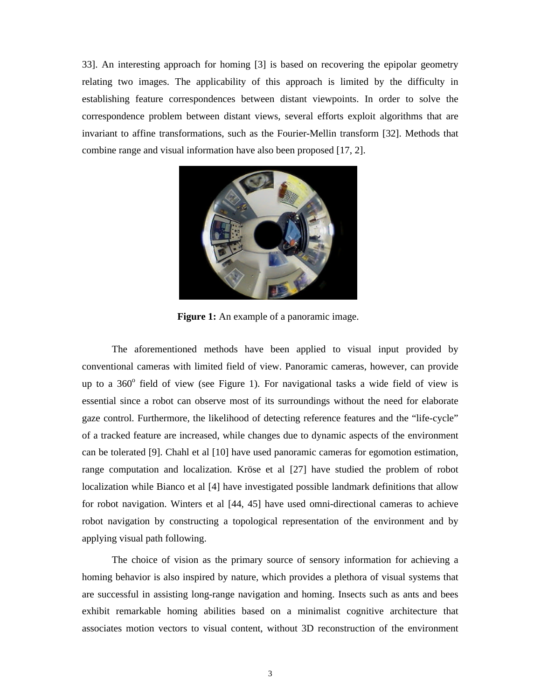33]. An interesting approach for homing [3] is based on recovering the epipolar geometry relating two images. The applicability of this approach is limited by the difficulty in establishing feature correspondences between distant viewpoints. In order to solve the correspondence problem between distant views, several efforts exploit algorithms that are invariant to affine transformations, such as the Fourier-Mellin transform [32]. Methods that combine range and visual information have also been proposed [17, 2].



**Figure 1:** An example of a panoramic image.

The aforementioned methods have been applied to visual input provided by conventional cameras with limited field of view. Panoramic cameras, however, can provide up to a  $360^{\circ}$  field of view (see Figure 1). For navigational tasks a wide field of view is essential since a robot can observe most of its surroundings without the need for elaborate gaze control. Furthermore, the likelihood of detecting reference features and the "life-cycle" of a tracked feature are increased, while changes due to dynamic aspects of the environment can be tolerated [9]. Chahl et al [10] have used panoramic cameras for egomotion estimation, range computation and localization. Kröse et al [27] have studied the problem of robot localization while Bianco et al [4] have investigated possible landmark definitions that allow for robot navigation. Winters et al [44, 45] have used omni-directional cameras to achieve robot navigation by constructing a topological representation of the environment and by applying visual path following.

The choice of vision as the primary source of sensory information for achieving a homing behavior is also inspired by nature, which provides a plethora of visual systems that are successful in assisting long-range navigation and homing. Insects such as ants and bees exhibit remarkable homing abilities based on a minimalist cognitive architecture that associates motion vectors to visual content, without 3D reconstruction of the environment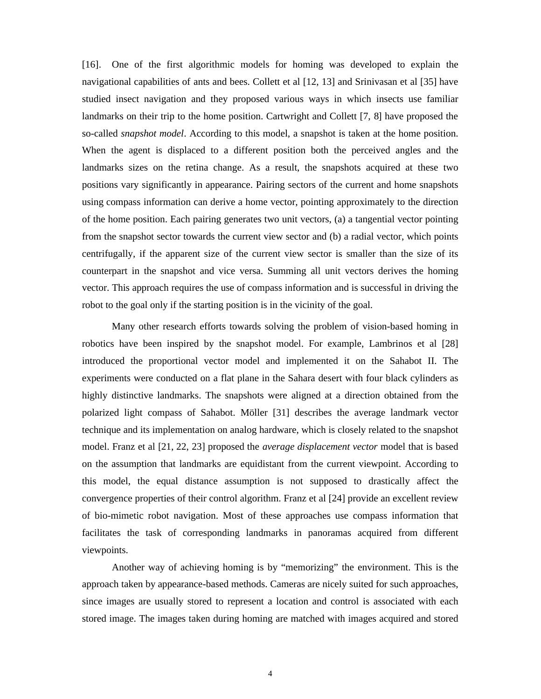[16]. One of the first algorithmic models for homing was developed to explain the navigational capabilities of ants and bees. Collett et al [12, 13] and Srinivasan et al [35] have studied insect navigation and they proposed various ways in which insects use familiar landmarks on their trip to the home position. Cartwright and Collett [7, 8] have proposed the so-called *snapshot model*. According to this model, a snapshot is taken at the home position. When the agent is displaced to a different position both the perceived angles and the landmarks sizes on the retina change. As a result, the snapshots acquired at these two positions vary significantly in appearance. Pairing sectors of the current and home snapshots using compass information can derive a home vector, pointing approximately to the direction of the home position. Each pairing generates two unit vectors, (a) a tangential vector pointing from the snapshot sector towards the current view sector and (b) a radial vector, which points centrifugally, if the apparent size of the current view sector is smaller than the size of its counterpart in the snapshot and vice versa. Summing all unit vectors derives the homing vector. This approach requires the use of compass information and is successful in driving the robot to the goal only if the starting position is in the vicinity of the goal.

Many other research efforts towards solving the problem of vision-based homing in robotics have been inspired by the snapshot model. For example, Lambrinos et al [28] introduced the proportional vector model and implemented it on the Sahabot II. The experiments were conducted on a flat plane in the Sahara desert with four black cylinders as highly distinctive landmarks. The snapshots were aligned at a direction obtained from the polarized light compass of Sahabot. Möller [31] describes the average landmark vector technique and its implementation on analog hardware, which is closely related to the snapshot model. Franz et al [21, 22, 23] proposed the *average displacement vector* model that is based on the assumption that landmarks are equidistant from the current viewpoint. According to this model, the equal distance assumption is not supposed to drastically affect the convergence properties of their control algorithm. Franz et al [24] provide an excellent review of bio-mimetic robot navigation. Most of these approaches use compass information that facilitates the task of corresponding landmarks in panoramas acquired from different viewpoints.

Another way of achieving homing is by "memorizing" the environment. This is the approach taken by appearance-based methods. Cameras are nicely suited for such approaches, since images are usually stored to represent a location and control is associated with each stored image. The images taken during homing are matched with images acquired and stored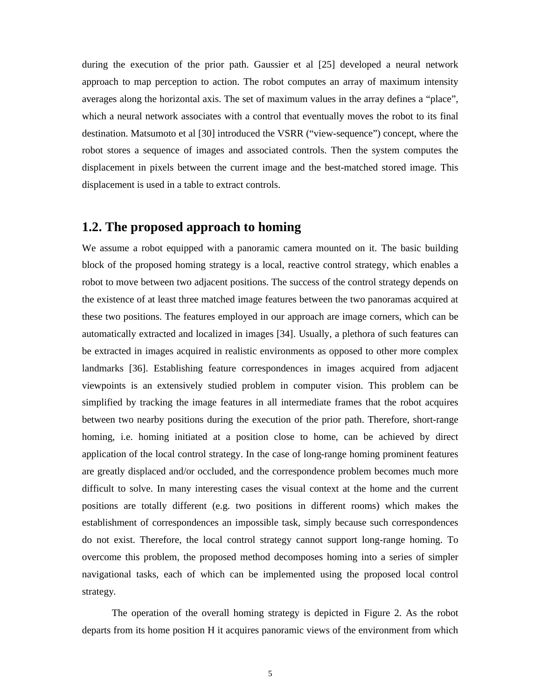during the execution of the prior path. Gaussier et al [25] developed a neural network approach to map perception to action. The robot computes an array of maximum intensity averages along the horizontal axis. The set of maximum values in the array defines a "place", which a neural network associates with a control that eventually moves the robot to its final destination. Matsumoto et al [30] introduced the VSRR ("view-sequence") concept, where the robot stores a sequence of images and associated controls. Then the system computes the displacement in pixels between the current image and the best-matched stored image. This displacement is used in a table to extract controls.

#### **1.2. The proposed approach to homing**

We assume a robot equipped with a panoramic camera mounted on it. The basic building block of the proposed homing strategy is a local, reactive control strategy, which enables a robot to move between two adjacent positions. The success of the control strategy depends on the existence of at least three matched image features between the two panoramas acquired at these two positions. The features employed in our approach are image corners, which can be automatically extracted and localized in images [34]. Usually, a plethora of such features can be extracted in images acquired in realistic environments as opposed to other more complex landmarks [36]. Establishing feature correspondences in images acquired from adjacent viewpoints is an extensively studied problem in computer vision. This problem can be simplified by tracking the image features in all intermediate frames that the robot acquires between two nearby positions during the execution of the prior path. Therefore, short-range homing, i.e. homing initiated at a position close to home, can be achieved by direct application of the local control strategy. In the case of long-range homing prominent features are greatly displaced and/or occluded, and the correspondence problem becomes much more difficult to solve. In many interesting cases the visual context at the home and the current positions are totally different (e.g. two positions in different rooms) which makes the establishment of correspondences an impossible task, simply because such correspondences do not exist. Therefore, the local control strategy cannot support long-range homing. To overcome this problem, the proposed method decomposes homing into a series of simpler navigational tasks, each of which can be implemented using the proposed local control strategy.

The operation of the overall homing strategy is depicted in Figure 2. As the robot departs from its home position H it acquires panoramic views of the environment from which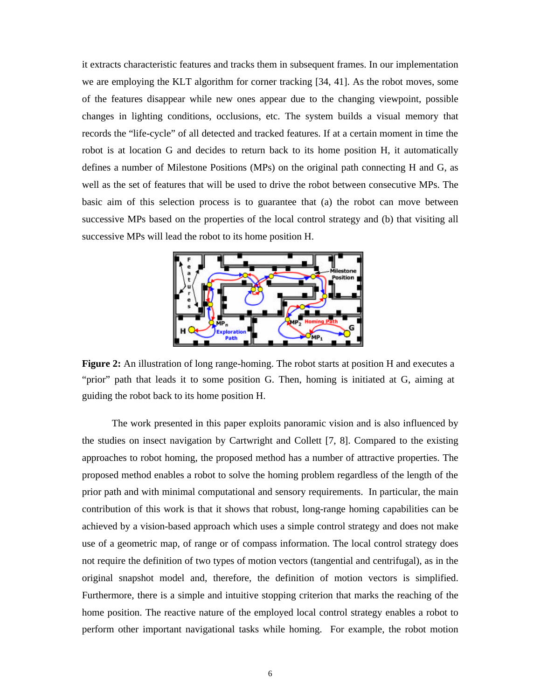it extracts characteristic features and tracks them in subsequent frames. In our implementation we are employing the KLT algorithm for corner tracking [34, 41]. As the robot moves, some of the features disappear while new ones appear due to the changing viewpoint, possible changes in lighting conditions, occlusions, etc. The system builds a visual memory that records the "life-cycle" of all detected and tracked features. If at a certain moment in time the robot is at location G and decides to return back to its home position H, it automatically defines a number of Milestone Positions (MPs) on the original path connecting H and G, as well as the set of features that will be used to drive the robot between consecutive MPs. The basic aim of this selection process is to guarantee that (a) the robot can move between successive MPs based on the properties of the local control strategy and (b) that visiting all successive MPs will lead the robot to its home position H.



**Figure 2:** An illustration of long range-homing. The robot starts at position H and executes a "prior" path that leads it to some position G. Then, homing is initiated at G, aiming at guiding the robot back to its home position H.

The work presented in this paper exploits panoramic vision and is also influenced by the studies on insect navigation by Cartwright and Collett [7, 8]. Compared to the existing approaches to robot homing, the proposed method has a number of attractive properties. The proposed method enables a robot to solve the homing problem regardless of the length of the prior path and with minimal computational and sensory requirements. In particular, the main contribution of this work is that it shows that robust, long-range homing capabilities can be achieved by a vision-based approach which uses a simple control strategy and does not make use of a geometric map, of range or of compass information. The local control strategy does not require the definition of two types of motion vectors (tangential and centrifugal), as in the original snapshot model and, therefore, the definition of motion vectors is simplified. Furthermore, there is a simple and intuitive stopping criterion that marks the reaching of the home position. The reactive nature of the employed local control strategy enables a robot to perform other important navigational tasks while homing. For example, the robot motion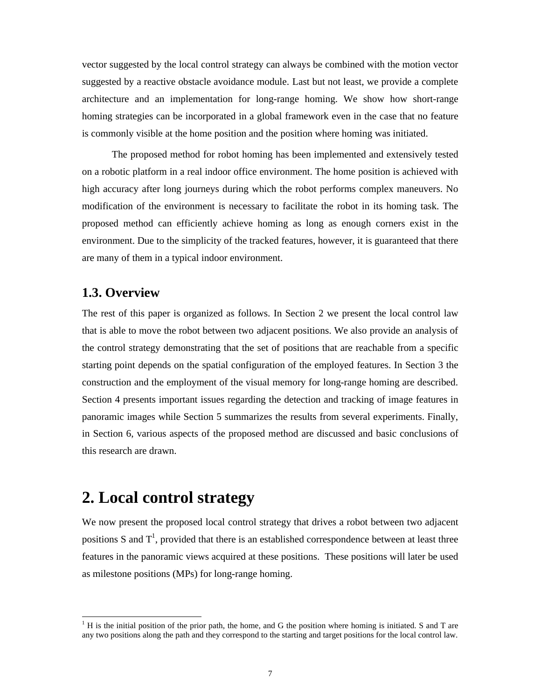vector suggested by the local control strategy can always be combined with the motion vector suggested by a reactive obstacle avoidance module. Last but not least, we provide a complete architecture and an implementation for long-range homing. We show how short-range homing strategies can be incorporated in a global framework even in the case that no feature is commonly visible at the home position and the position where homing was initiated.

The proposed method for robot homing has been implemented and extensively tested on a robotic platform in a real indoor office environment. The home position is achieved with high accuracy after long journeys during which the robot performs complex maneuvers. No modification of the environment is necessary to facilitate the robot in its homing task. The proposed method can efficiently achieve homing as long as enough corners exist in the environment. Due to the simplicity of the tracked features, however, it is guaranteed that there are many of them in a typical indoor environment.

### **1.3. Overview**

 $\overline{a}$ 

The rest of this paper is organized as follows. In Section 2 we present the local control law that is able to move the robot between two adjacent positions. We also provide an analysis of the control strategy demonstrating that the set of positions that are reachable from a specific starting point depends on the spatial configuration of the employed features. In Section 3 the construction and the employment of the visual memory for long-range homing are described. Section 4 presents important issues regarding the detection and tracking of image features in panoramic images while Section 5 summarizes the results from several experiments. Finally, in Section 6, various aspects of the proposed method are discussed and basic conclusions of this research are drawn.

# **2. Local control strategy**

We now present the proposed local control strategy that drives a robot between two adjacent positions S and  $T^1$ , provided that there is an established correspondence between at least three features in the panoramic views acquired at these positions. These positions will later be used as milestone positions (MPs) for long-range homing.

 $<sup>1</sup>$  H is the initial position of the prior path, the home, and G the position where homing is initiated. S and T are</sup> any two positions along the path and they correspond to the starting and target positions for the local control law.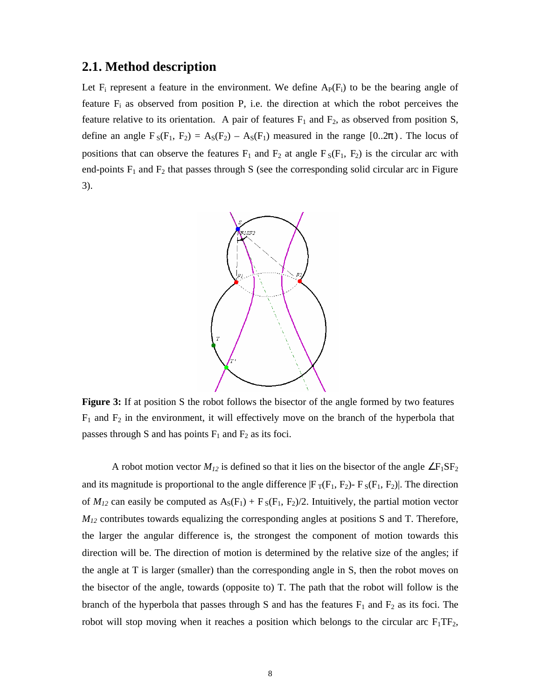### **2.1. Method description**

Let  $F_i$  represent a feature in the environment. We define  $A_P(F_i)$  to be the bearing angle of feature  $F_i$  as observed from position P, i.e. the direction at which the robot perceives the feature relative to its orientation. A pair of features  $F_1$  and  $F_2$ , as observed from position S, define an angle  $F_S(F_1, F_2) = A_S(F_2) - A_S(F_1)$  measured in the range  $[0..2\mathbf{p})$ . The locus of positions that can observe the features  $F_1$  and  $F_2$  at angle  $F_S(F_1, F_2)$  is the circular arc with end-points  $F_1$  and  $F_2$  that passes through S (see the corresponding solid circular arc in Figure 3).



**Figure 3:** If at position S the robot follows the bisector of the angle formed by two features  $F_1$  and  $F_2$  in the environment, it will effectively move on the branch of the hyperbola that passes through S and has points  $F_1$  and  $F_2$  as its foci.

A robot motion vector  $M_{12}$  is defined so that it lies on the bisector of the angle  $\angle F_1SF_2$ and its magnitude is proportional to the angle difference  $|F_T(F_1, F_2) - F_S(F_1, F_2)|$ . The direction of  $M_{12}$  can easily be computed as  $A_S(F_1) + F_S(F_1, F_2)/2$ . Intuitively, the partial motion vector  $M_{12}$  contributes towards equalizing the corresponding angles at positions S and T. Therefore, the larger the angular difference is, the strongest the component of motion towards this direction will be. The direction of motion is determined by the relative size of the angles; if the angle at T is larger (smaller) than the corresponding angle in S, then the robot moves on the bisector of the angle, towards (opposite to) T. The path that the robot will follow is the branch of the hyperbola that passes through S and has the features  $F_1$  and  $F_2$  as its foci. The robot will stop moving when it reaches a position which belongs to the circular arc  $F_1TF_2$ ,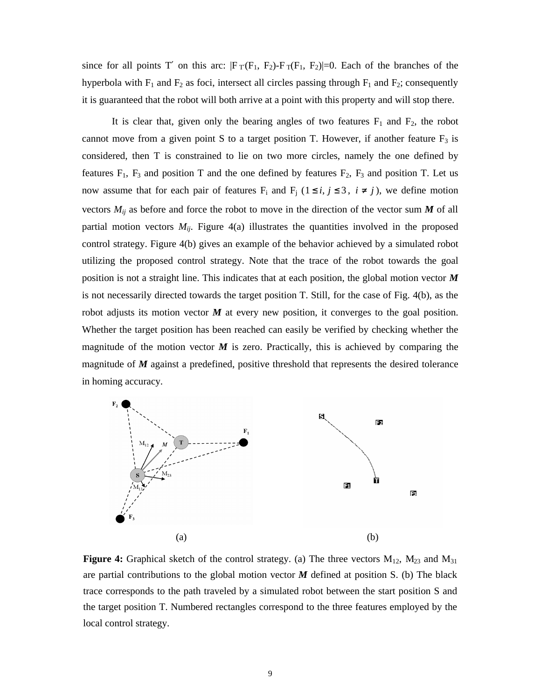since for all points T' on this arc:  $|F_T(F_1, F_2) - F_T(F_1, F_2)| = 0$ . Each of the branches of the hyperbola with  $F_1$  and  $F_2$  as foci, intersect all circles passing through  $F_1$  and  $F_2$ ; consequently it is guaranteed that the robot will both arrive at a point with this property and will stop there.

It is clear that, given only the bearing angles of two features  $F_1$  and  $F_2$ , the robot cannot move from a given point S to a target position T. However, if another feature  $F_3$  is considered, then T is constrained to lie on two more circles, namely the one defined by features  $F_1$ ,  $F_3$  and position T and the one defined by features  $F_2$ ,  $F_3$  and position T. Let us now assume that for each pair of features  $F_i$  and  $F_j$  ( $1 \le i, j \le 3, i \ne j$ ), we define motion vectors  $M_{ij}$  as before and force the robot to move in the direction of the vector sum M of all partial motion vectors  $M_{ij}$ . Figure 4(a) illustrates the quantities involved in the proposed control strategy. Figure 4(b) gives an example of the behavior achieved by a simulated robot utilizing the proposed control strategy. Note that the trace of the robot towards the goal position is not a straight line. This indicates that at each position, the global motion vector *M* is not necessarily directed towards the target position T. Still, for the case of Fig. 4(b), as the robot adjusts its motion vector *M* at every new position, it converges to the goal position. Whether the target position has been reached can easily be verified by checking whether the magnitude of the motion vector  $\boldsymbol{M}$  is zero. Practically, this is achieved by comparing the magnitude of *M* against a predefined, positive threshold that represents the desired tolerance in homing accuracy.



**Figure 4:** Graphical sketch of the control strategy. (a) The three vectors  $M_{12}$ ,  $M_{23}$  and  $M_{31}$ are partial contributions to the global motion vector *M* defined at position S. (b) The black trace corresponds to the path traveled by a simulated robot between the start position S and the target position T. Numbered rectangles correspond to the three features employed by the local control strategy.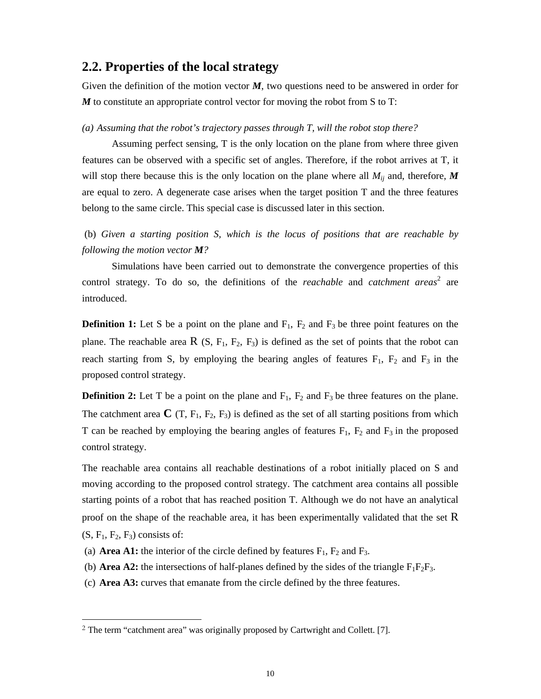### **2.2. Properties of the local strategy**

Given the definition of the motion vector *M*, two questions need to be answered in order for *M* to constitute an appropriate control vector for moving the robot from S to T:

#### *(a) Assuming that the robot's trajectory passes through T, will the robot stop there?*

Assuming perfect sensing, T is the only location on the plane from where three given features can be observed with a specific set of angles. Therefore, if the robot arrives at T, it will stop there because this is the only location on the plane where all  $M_{ij}$  and, therefore,  $\vec{M}$ are equal to zero. A degenerate case arises when the target position T and the three features belong to the same circle. This special case is discussed later in this section.

 (b) *Given a starting position S, which is the locus of positions that are reachable by following the motion vector M?* 

Simulations have been carried out to demonstrate the convergence properties of this control strategy. To do so, the definitions of the *reachable* and *catchment areas* 2 are introduced.

**Definition 1:** Let S be a point on the plane and  $F_1$ ,  $F_2$  and  $F_3$  be three point features on the plane. The reachable area  $R$  (S,  $F_1$ ,  $F_2$ ,  $F_3$ ) is defined as the set of points that the robot can reach starting from S, by employing the bearing angles of features  $F_1$ ,  $F_2$  and  $F_3$  in the proposed control strategy.

**Definition 2:** Let T be a point on the plane and  $F_1$ ,  $F_2$  and  $F_3$  be three features on the plane. The catchment area  $C$  (T,  $F_1$ ,  $F_2$ ,  $F_3$ ) is defined as the set of all starting positions from which T can be reached by employing the bearing angles of features  $F_1$ ,  $F_2$  and  $F_3$  in the proposed control strategy.

The reachable area contains all reachable destinations of a robot initially placed on S and moving according to the proposed control strategy. The catchment area contains all possible starting points of a robot that has reached position T. Although we do not have an analytical proof on the shape of the reachable area, it has been experimentally validated that the set  $\overline{R}$  $(S, F<sub>1</sub>, F<sub>2</sub>, F<sub>3</sub>)$  consists of:

- (a) **Area A1:** the interior of the circle defined by features  $F_1$ ,  $F_2$  and  $F_3$ .
- (b) **Area A2:** the intersections of half-planes defined by the sides of the triangle  $F_1F_2F_3$ .
- (c) **Area A3:** curves that emanate from the circle defined by the three features.

 $\overline{a}$ 

<sup>2</sup> The term "catchment area" was originally proposed by Cartwright and Collett. [7].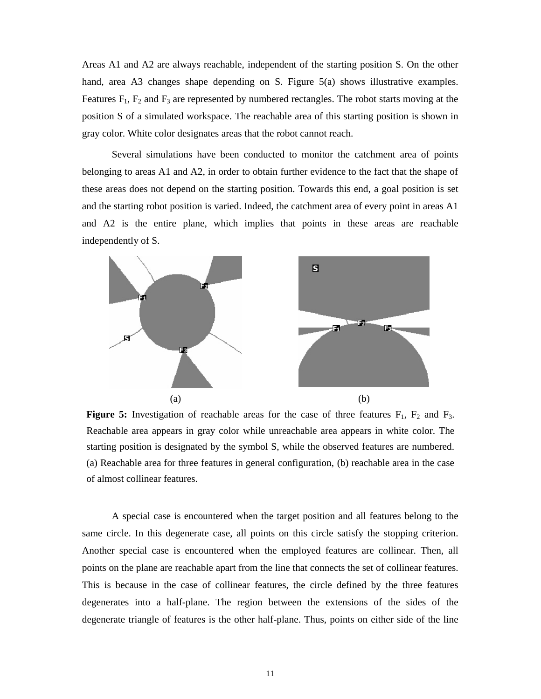Areas A1 and A2 are always reachable, independent of the starting position S. On the other hand, area A3 changes shape depending on S. Figure 5(a) shows illustrative examples. Features  $F_1$ ,  $F_2$  and  $F_3$  are represented by numbered rectangles. The robot starts moving at the position S of a simulated workspace. The reachable area of this starting position is shown in gray color. White color designates areas that the robot cannot reach.

Several simulations have been conducted to monitor the catchment area of points belonging to areas A1 and A2, in order to obtain further evidence to the fact that the shape of these areas does not depend on the starting position. Towards this end, a goal position is set and the starting robot position is varied. Indeed, the catchment area of every point in areas A1 and A2 is the entire plane, which implies that points in these areas are reachable independently of S.



**Figure 5:** Investigation of reachable areas for the case of three features  $F_1$ ,  $F_2$  and  $F_3$ . Reachable area appears in gray color while unreachable area appears in white color. The starting position is designated by the symbol S, while the observed features are numbered. (a) Reachable area for three features in general configuration, (b) reachable area in the case of almost collinear features.

A special case is encountered when the target position and all features belong to the same circle. In this degenerate case, all points on this circle satisfy the stopping criterion. Another special case is encountered when the employed features are collinear. Then, all points on the plane are reachable apart from the line that connects the set of collinear features. This is because in the case of collinear features, the circle defined by the three features degenerates into a half-plane. The region between the extensions of the sides of the degenerate triangle of features is the other half-plane. Thus, points on either side of the line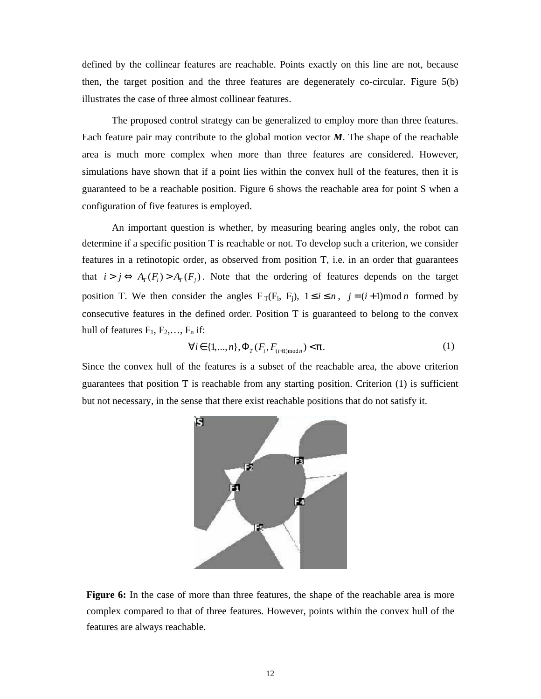defined by the collinear features are reachable. Points exactly on this line are not, because then, the target position and the three features are degenerately co-circular. Figure 5(b) illustrates the case of three almost collinear features.

The proposed control strategy can be generalized to employ more than three features. Each feature pair may contribute to the global motion vector *M*. The shape of the reachable area is much more complex when more than three features are considered. However, simulations have shown that if a point lies within the convex hull of the features, then it is guaranteed to be a reachable position. Figure 6 shows the reachable area for point S when a configuration of five features is employed.

An important question is whether, by measuring bearing angles only, the robot can determine if a specific position T is reachable or not. To develop such a criterion, we consider features in a retinotopic order, as observed from position T, i.e. in an order that guarantees that  $i > j \Leftrightarrow A_T(F_i) > A_T(F_j)$ . Note that the ordering of features depends on the target position T. We then consider the angles  $F_T(F_i, F_i)$ ,  $1 \le i \le n$ ,  $j = (i+1) \mod n$  formed by consecutive features in the defined order. Position T is guaranteed to belong to the convex hull of features  $F_1, F_2, \ldots, F_n$  if:

$$
\forall i \in \{1, \ldots, n\}, \Phi_T(F_i, F_{(i+1)\text{mod } n}) < \mathbf{p}.\tag{1}
$$

Since the convex hull of the features is a subset of the reachable area, the above criterion guarantees that position T is reachable from any starting position. Criterion (1) is sufficient but not necessary, in the sense that there exist reachable positions that do not satisfy it.



**Figure 6:** In the case of more than three features, the shape of the reachable area is more complex compared to that of three features. However, points within the convex hull of the features are always reachable.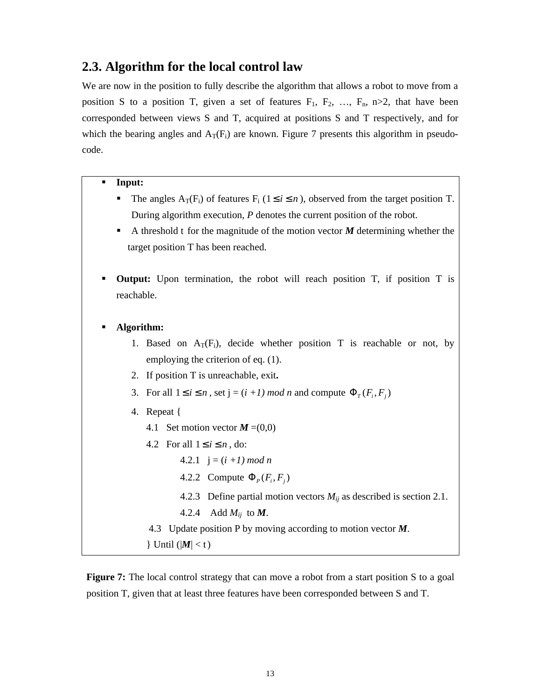### **2.3. Algorithm for the local control law**

We are now in the position to fully describe the algorithm that allows a robot to move from a position S to a position T, given a set of features  $F_1$ ,  $F_2$ , ...,  $F_n$ ,  $n>2$ , that have been corresponded between views S and T, acquired at positions S and T respectively, and for which the bearing angles and  $A_T(F_i)$  are known. Figure 7 presents this algorithm in pseudocode.

#### ß **Input:**

- The angles  $A_T(F_i)$  of features  $F_i$  ( $1 \le i \le n$ ), observed from the target position T. During algorithm execution, *P* denotes the current position of the robot.
- $\blacksquare$  A threshold t for the magnitude of the motion vector *M* determining whether the target position T has been reached.
- **Output:** Upon termination, the robot will reach position T, if position T is reachable.
- ß **Algorithm:**
	- 1. Based on  $A_T(F_i)$ , decide whether position T is reachable or not, by employing the criterion of eq. (1).
	- 2. If position T is unreachable, exit**.**
	- 3. For all  $1 \le i \le n$ , set  $j = (i +1) \mod n$  and compute  $\Phi_T(F_i, F_j)$
	- 4. Repeat {
		- 4.1 Set motion vector  $M = (0,0)$
		- 4.2 For all  $1 \le i \le n$ , do:
			- 4.2.1  $j = (i +1) \mod n$

4.2.4 Add *Mij* to *M*.

- 4.2.2 Compute  $\Phi_p(F_i, F_i)$
- 4.2.3 Define partial motion vectors  $M_{ij}$  as described is section 2.1.

 4.3 Update position P by moving according to motion vector *M*.  $\}$  Until ( $|M|$  < t)

**Figure 7:** The local control strategy that can move a robot from a start position S to a goal position T, given that at least three features have been corresponded between S and T.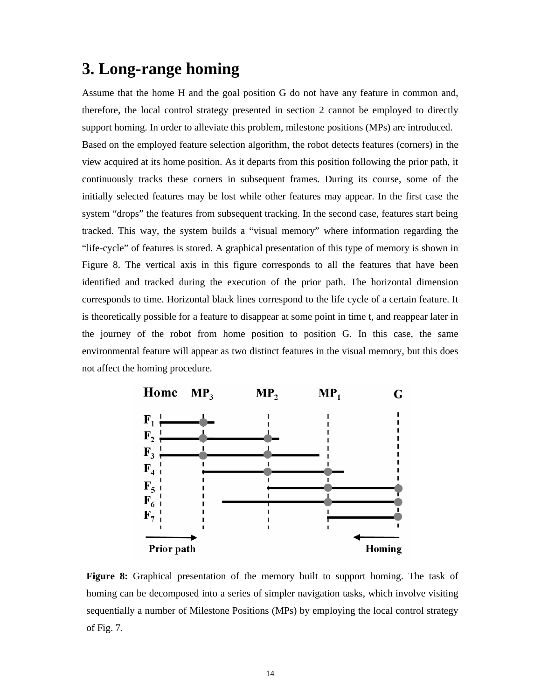# **3. Long-range homing**

Assume that the home H and the goal position G do not have any feature in common and, therefore, the local control strategy presented in section 2 cannot be employed to directly support homing. In order to alleviate this problem, milestone positions (MPs) are introduced. Based on the employed feature selection algorithm, the robot detects features (corners) in the view acquired at its home position. As it departs from this position following the prior path, it continuously tracks these corners in subsequent frames. During its course, some of the initially selected features may be lost while other features may appear. In the first case the system "drops" the features from subsequent tracking. In the second case, features start being tracked. This way, the system builds a "visual memory" where information regarding the "life-cycle" of features is stored. A graphical presentation of this type of memory is shown in Figure 8. The vertical axis in this figure corresponds to all the features that have been identified and tracked during the execution of the prior path. The horizontal dimension corresponds to time. Horizontal black lines correspond to the life cycle of a certain feature. It is theoretically possible for a feature to disappear at some point in time t, and reappear later in the journey of the robot from home position to position G. In this case, the same environmental feature will appear as two distinct features in the visual memory, but this does not affect the homing procedure.



**Figure 8:** Graphical presentation of the memory built to support homing. The task of homing can be decomposed into a series of simpler navigation tasks, which involve visiting sequentially a number of Milestone Positions (MPs) by employing the local control strategy of Fig. 7.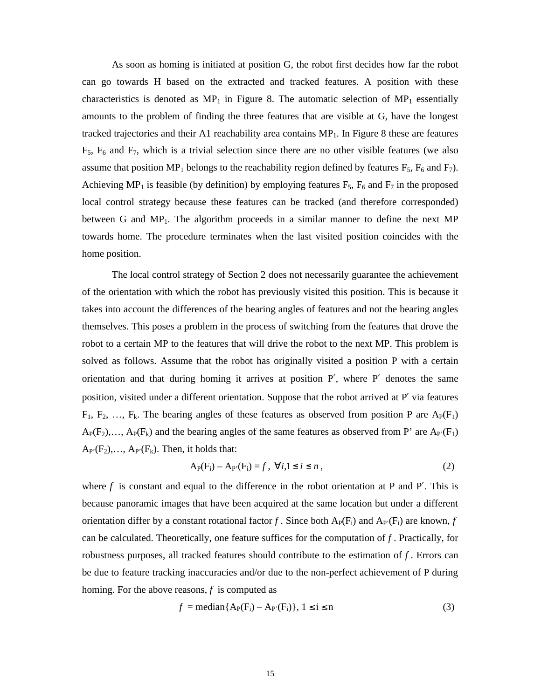As soon as homing is initiated at position G, the robot first decides how far the robot can go towards H based on the extracted and tracked features. A position with these characteristics is denoted as  $MP_1$  in Figure 8. The automatic selection of  $MP_1$  essentially amounts to the problem of finding the three features that are visible at G, have the longest tracked trajectories and their A1 reachability area contains  $MP_1$ . In Figure 8 these are features  $F_5$ ,  $F_6$  and  $F_7$ , which is a trivial selection since there are no other visible features (we also assume that position MP<sub>1</sub> belongs to the reachability region defined by features  $F_5$ ,  $F_6$  and  $F_7$ ). Achieving MP<sub>1</sub> is feasible (by definition) by employing features  $F_5$ ,  $F_6$  and  $F_7$  in the proposed local control strategy because these features can be tracked (and therefore corresponded) between G and  $MP_1$ . The algorithm proceeds in a similar manner to define the next MP towards home. The procedure terminates when the last visited position coincides with the home position.

The local control strategy of Section 2 does not necessarily guarantee the achievement of the orientation with which the robot has previously visited this position. This is because it takes into account the differences of the bearing angles of features and not the bearing angles themselves. This poses a problem in the process of switching from the features that drove the robot to a certain MP to the features that will drive the robot to the next MP. This problem is solved as follows. Assume that the robot has originally visited a position P with a certain orientation and that during homing it arrives at position P′, where P′ denotes the same position, visited under a different orientation. Suppose that the robot arrived at P′ via features  $F_1, F_2, \ldots, F_k$ . The bearing angles of these features as observed from position P are  $A_P(F_1)$  $A_P(F_2),..., A_P(F_k)$  and the bearing angles of the same features as observed from P' are  $A_P(F_1)$  $A_{P}(F_2),..., A_{P}(F_k)$ . Then, it holds that:

$$
A_P(F_i) - A_{P'}(F_i) = f, \ \forall i, 1 \le i \le n ,
$$
 (2)

where  $f$  is constant and equal to the difference in the robot orientation at P and P'. This is because panoramic images that have been acquired at the same location but under a different orientation differ by a constant rotational factor *f*. Since both  $A_P(F_i)$  and  $A_P(F_i)$  are known, *f* can be calculated. Theoretically, one feature suffices for the computation of *f* . Practically, for robustness purposes, all tracked features should contribute to the estimation of *f* . Errors can be due to feature tracking inaccuracies and/or due to the non-perfect achievement of P during homing. For the above reasons, *f* is computed as

$$
f = \text{median}\{A_P(F_i) - A_{P'}(F_i)\}, 1 \le i \le n
$$
\n<sup>(3)</sup>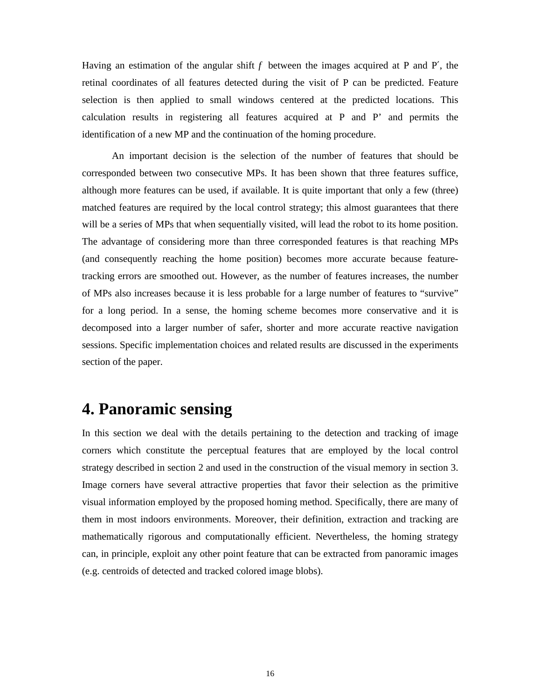Having an estimation of the angular shift *f* between the images acquired at P and P′, the retinal coordinates of all features detected during the visit of P can be predicted. Feature selection is then applied to small windows centered at the predicted locations. This calculation results in registering all features acquired at P and P' and permits the identification of a new MP and the continuation of the homing procedure.

An important decision is the selection of the number of features that should be corresponded between two consecutive MPs. It has been shown that three features suffice, although more features can be used, if available. It is quite important that only a few (three) matched features are required by the local control strategy; this almost guarantees that there will be a series of MPs that when sequentially visited, will lead the robot to its home position. The advantage of considering more than three corresponded features is that reaching MPs (and consequently reaching the home position) becomes more accurate because featuretracking errors are smoothed out. However, as the number of features increases, the number of MPs also increases because it is less probable for a large number of features to "survive" for a long period. In a sense, the homing scheme becomes more conservative and it is decomposed into a larger number of safer, shorter and more accurate reactive navigation sessions. Specific implementation choices and related results are discussed in the experiments section of the paper.

# **4. Panoramic sensing**

In this section we deal with the details pertaining to the detection and tracking of image corners which constitute the perceptual features that are employed by the local control strategy described in section 2 and used in the construction of the visual memory in section 3. Image corners have several attractive properties that favor their selection as the primitive visual information employed by the proposed homing method. Specifically, there are many of them in most indoors environments. Moreover, their definition, extraction and tracking are mathematically rigorous and computationally efficient. Nevertheless, the homing strategy can, in principle, exploit any other point feature that can be extracted from panoramic images (e.g. centroids of detected and tracked colored image blobs).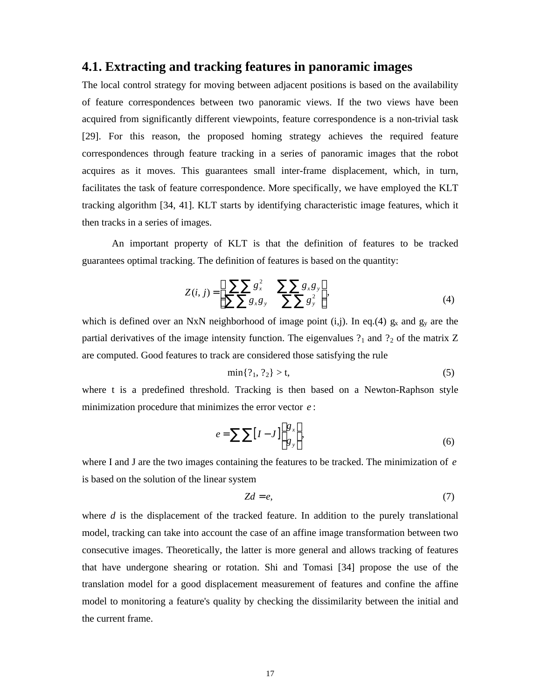### **4.1. Extracting and tracking features in panoramic images**

The local control strategy for moving between adjacent positions is based on the availability of feature correspondences between two panoramic views. If the two views have been acquired from significantly different viewpoints, feature correspondence is a non-trivial task [29]. For this reason, the proposed homing strategy achieves the required feature correspondences through feature tracking in a series of panoramic images that the robot acquires as it moves. This guarantees small inter-frame displacement, which, in turn, facilitates the task of feature correspondence. More specifically, we have employed the KLT tracking algorithm [34, 41]. KLT starts by identifying characteristic image features, which it then tracks in a series of images.

An important property of KLT is that the definition of features to be tracked guarantees optimal tracking. The definition of features is based on the quantity:

$$
Z(i, j) = \left[ \sum_{\sum_{i} \sum_{j} g_{i} g_{j}} \sum_{\sum_{j} \sum_{j} g_{j} g_{j}} \sum_{\sum_{j} \sum_{j} g_{j}} \right],
$$
 (4)

which is defined over an NxN neighborhood of image point (i,j). In eq.(4)  $g_x$  and  $g_y$  are the partial derivatives of the image intensity function. The eigenvalues  $?_1$  and  $?_2$  of the matrix Z are computed. Good features to track are considered those satisfying the rule

$$
\min\{?_1, ?_2\} > t,\tag{5}
$$

where t is a predefined threshold. Tracking is then based on a Newton-Raphson style minimization procedure that minimizes the error vector *e* :

$$
e = \sum \sum [I - J] \begin{bmatrix} g_x \\ g_y \end{bmatrix},
$$
\n(6)

where I and J are the two images containing the features to be tracked. The minimization of *e* is based on the solution of the linear system

$$
Zd = e,\tag{7}
$$

where *d* is the displacement of the tracked feature. In addition to the purely translational model, tracking can take into account the case of an affine image transformation between two consecutive images. Theoretically, the latter is more general and allows tracking of features that have undergone shearing or rotation. Shi and Tomasi [34] propose the use of the translation model for a good displacement measurement of features and confine the affine model to monitoring a feature's quality by checking the dissimilarity between the initial and the current frame.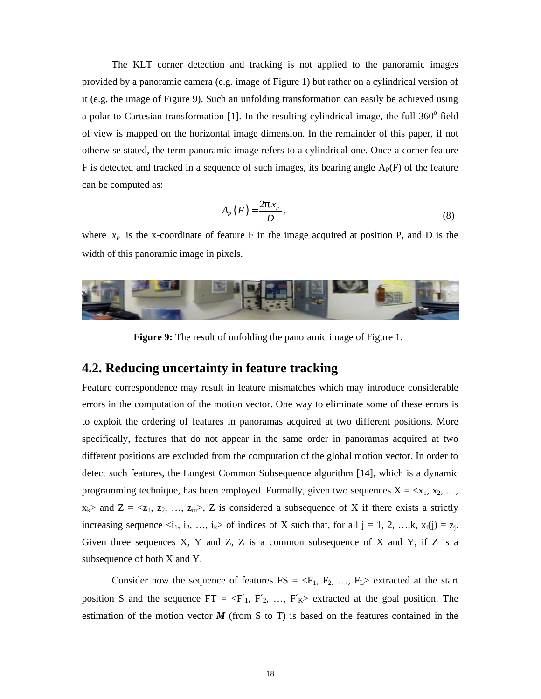The KLT corner detection and tracking is not applied to the panoramic images provided by a panoramic camera (e.g. image of Figure 1) but rather on a cylindrical version of it (e.g. the image of Figure 9). Such an unfolding transformation can easily be achieved using a polar-to-Cartesian transformation [1]. In the resulting cylindrical image, the full  $360^{\circ}$  field of view is mapped on the horizontal image dimension. In the remainder of this paper, if not otherwise stated, the term panoramic image refers to a cylindrical one. Once a corner feature F is detected and tracked in a sequence of such images, its bearing angle  $A<sub>P</sub>(F)$  of the feature can be computed as:

$$
A_{P}(F) = \frac{2\mathbf{p}x_{F}}{D},
$$
\n(8)

where  $x_F$  is the x-coordinate of feature F in the image acquired at position P, and D is the width of this panoramic image in pixels.



**Figure 9:** The result of unfolding the panoramic image of Figure 1.

#### **4.2. Reducing uncertainty in feature tracking**

Feature correspondence may result in feature mismatches which may introduce considerable errors in the computation of the motion vector. One way to eliminate some of these errors is to exploit the ordering of features in panoramas acquired at two different positions. More specifically, features that do not appear in the same order in panoramas acquired at two different positions are excluded from the computation of the global motion vector. In order to detect such features, the Longest Common Subsequence algorithm [14], which is a dynamic programming technique, has been employed. Formally, given two sequences  $X = \langle x_1, x_2, \ldots, x_n \rangle$  $x_k$ > and Z = <z<sub>1</sub>, z<sub>2</sub>, ..., z<sub>m</sub>>, Z is considered a subsequence of X if there exists a strictly increasing sequence  $\langle i_1, i_2, ..., i_k \rangle$  of indices of X such that, for all  $j = 1, 2, ..., k$ ,  $x_i(j) = z_j$ . Given three sequences  $X$ ,  $Y$  and  $Z$ ,  $Z$  is a common subsequence of  $X$  and  $Y$ , if  $Z$  is a subsequence of both X and Y.

Consider now the sequence of features  $FS = \langle F_1, F_2, ..., F_L \rangle$  extracted at the start position S and the sequence  $FT = \langle F_1, F_2, ..., F_K \rangle$  extracted at the goal position. The estimation of the motion vector  $M$  (from S to T) is based on the features contained in the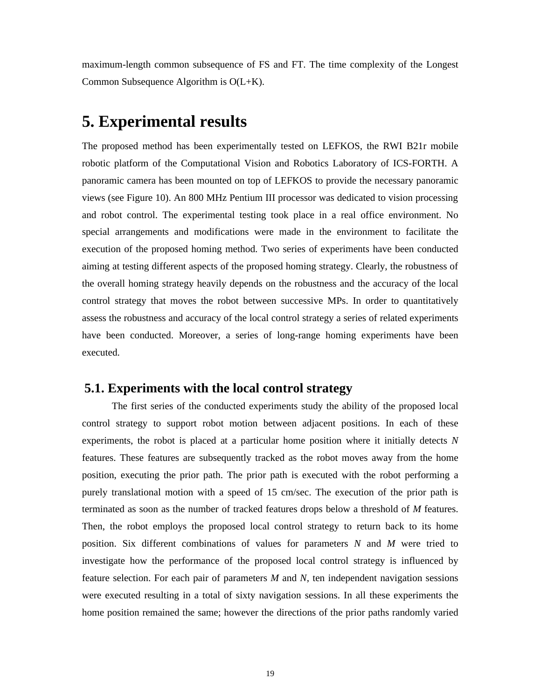maximum-length common subsequence of FS and FT. The time complexity of the Longest Common Subsequence Algorithm is O(L+K).

## **5. Experimental results**

The proposed method has been experimentally tested on LEFKOS, the RWI B21r mobile robotic platform of the Computational Vision and Robotics Laboratory of ICS-FORTH. A panoramic camera has been mounted on top of LEFKOS to provide the necessary panoramic views (see Figure 10). An 800 MHz Pentium III processor was dedicated to vision processing and robot control. The experimental testing took place in a real office environment. No special arrangements and modifications were made in the environment to facilitate the execution of the proposed homing method. Two series of experiments have been conducted aiming at testing different aspects of the proposed homing strategy. Clearly, the robustness of the overall homing strategy heavily depends on the robustness and the accuracy of the local control strategy that moves the robot between successive MPs. In order to quantitatively assess the robustness and accuracy of the local control strategy a series of related experiments have been conducted. Moreover, a series of long-range homing experiments have been executed.

#### **5.1. Experiments with the local control strategy**

The first series of the conducted experiments study the ability of the proposed local control strategy to support robot motion between adjacent positions. In each of these experiments, the robot is placed at a particular home position where it initially detects *N* features. These features are subsequently tracked as the robot moves away from the home position, executing the prior path. The prior path is executed with the robot performing a purely translational motion with a speed of 15 cm/sec. The execution of the prior path is terminated as soon as the number of tracked features drops below a threshold of *M* features. Then, the robot employs the proposed local control strategy to return back to its home position. Six different combinations of values for parameters *N* and *M* were tried to investigate how the performance of the proposed local control strategy is influenced by feature selection. For each pair of parameters *M* and *N*, ten independent navigation sessions were executed resulting in a total of sixty navigation sessions. In all these experiments the home position remained the same; however the directions of the prior paths randomly varied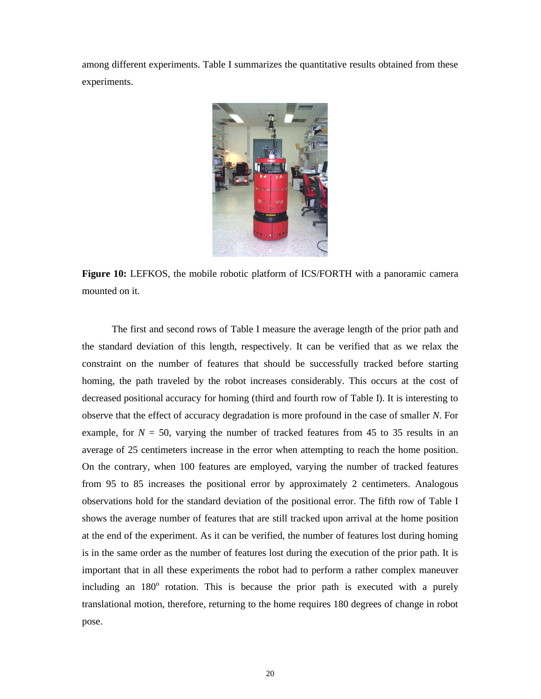among different experiments. Table I summarizes the quantitative results obtained from these experiments.



**Figure 10:** LEFKOS, the mobile robotic platform of ICS/FORTH with a panoramic camera mounted on it.

The first and second rows of Table I measure the average length of the prior path and the standard deviation of this length, respectively. It can be verified that as we relax the constraint on the number of features that should be successfully tracked before starting homing, the path traveled by the robot increases considerably. This occurs at the cost of decreased positional accuracy for homing (third and fourth row of Table I). It is interesting to observe that the effect of accuracy degradation is more profound in the case of smaller *N*. For example, for  $N = 50$ , varying the number of tracked features from 45 to 35 results in an average of 25 centimeters increase in the error when attempting to reach the home position. On the contrary, when 100 features are employed, varying the number of tracked features from 95 to 85 increases the positional error by approximately 2 centimeters. Analogous observations hold for the standard deviation of the positional error. The fifth row of Table I shows the average number of features that are still tracked upon arrival at the home position at the end of the experiment. As it can be verified, the number of features lost during homing is in the same order as the number of features lost during the execution of the prior path. It is important that in all these experiments the robot had to perform a rather complex maneuver including an  $180^\circ$  rotation. This is because the prior path is executed with a purely translational motion, therefore, returning to the home requires 180 degrees of change in robot pose.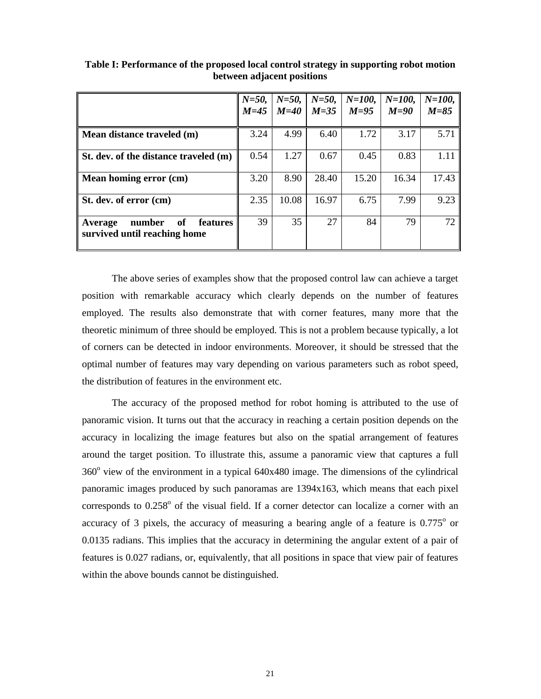|                                       | $N=50$ ,<br>$M=45$ | $N=50$ ,<br>$M=40$ | $N=50$ ,<br>$M=35$ | $N = 100$ ,<br>$M=95$ | $N = 100$ ,<br>$M=90$ | $N = 100$ ,<br>$M = 85$ |
|---------------------------------------|--------------------|--------------------|--------------------|-----------------------|-----------------------|-------------------------|
|                                       |                    |                    |                    |                       |                       |                         |
| Mean distance traveled (m)            | 3.24               | 4.99               | 6.40               | 1.72                  | 3.17                  | 5.71                    |
|                                       |                    |                    |                    |                       |                       |                         |
| St. dev. of the distance traveled (m) | 0.54               | 1.27               | 0.67               | 0.45                  | 0.83                  | 1.11                    |
|                                       |                    |                    |                    |                       |                       |                         |
| Mean homing error (cm)                | 3.20               | 8.90               | 28.40              | 15.20                 | 16.34                 | 17.43                   |
|                                       |                    |                    |                    |                       |                       |                         |
| St. dev. of error (cm)                | 2.35               | 10.08              | 16.97              | 6.75                  | 7.99                  | 9.23                    |
|                                       |                    |                    |                    |                       |                       |                         |
| of<br>number<br>features<br>Average   | 39                 | 35                 | 27                 | 84                    | 79                    | 72                      |
| survived until reaching home          |                    |                    |                    |                       |                       |                         |
|                                       |                    |                    |                    |                       |                       |                         |

**Table I: Performance of the proposed local control strategy in supporting robot motion between adjacent positions**

The above series of examples show that the proposed control law can achieve a target position with remarkable accuracy which clearly depends on the number of features employed. The results also demonstrate that with corner features, many more that the theoretic minimum of three should be employed. This is not a problem because typically, a lot of corners can be detected in indoor environments. Moreover, it should be stressed that the optimal number of features may vary depending on various parameters such as robot speed, the distribution of features in the environment etc.

The accuracy of the proposed method for robot homing is attributed to the use of panoramic vision. It turns out that the accuracy in reaching a certain position depends on the accuracy in localizing the image features but also on the spatial arrangement of features around the target position. To illustrate this, assume a panoramic view that captures a full  $360^\circ$  view of the environment in a typical  $640x480$  image. The dimensions of the cylindrical panoramic images produced by such panoramas are 1394x163, which means that each pixel corresponds to  $0.258^{\circ}$  of the visual field. If a corner detector can localize a corner with an accuracy of 3 pixels, the accuracy of measuring a bearing angle of a feature is  $0.775^{\circ}$  or 0.0135 radians. This implies that the accuracy in determining the angular extent of a pair of features is 0.027 radians, or, equivalently, that all positions in space that view pair of features within the above bounds cannot be distinguished.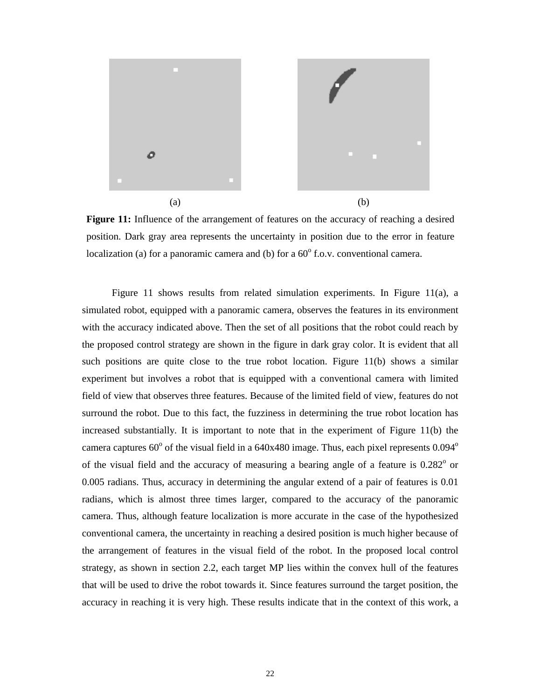

**Figure 11:** Influence of the arrangement of features on the accuracy of reaching a desired position. Dark gray area represents the uncertainty in position due to the error in feature localization (a) for a panoramic camera and (b) for a  $60^{\circ}$  f.o.v. conventional camera.

Figure 11 shows results from related simulation experiments. In Figure 11(a), a simulated robot, equipped with a panoramic camera, observes the features in its environment with the accuracy indicated above. Then the set of all positions that the robot could reach by the proposed control strategy are shown in the figure in dark gray color. It is evident that all such positions are quite close to the true robot location. Figure 11(b) shows a similar experiment but involves a robot that is equipped with a conventional camera with limited field of view that observes three features. Because of the limited field of view, features do not surround the robot. Due to this fact, the fuzziness in determining the true robot location has increased substantially. It is important to note that in the experiment of Figure 11(b) the camera captures 60 $^{\circ}$  of the visual field in a 640x480 image. Thus, each pixel represents 0.094 $^{\circ}$ of the visual field and the accuracy of measuring a bearing angle of a feature is  $0.282^{\circ}$  or 0.005 radians. Thus, accuracy in determining the angular extend of a pair of features is 0.01 radians, which is almost three times larger, compared to the accuracy of the panoramic camera. Thus, although feature localization is more accurate in the case of the hypothesized conventional camera, the uncertainty in reaching a desired position is much higher because of the arrangement of features in the visual field of the robot. In the proposed local control strategy, as shown in section 2.2, each target MP lies within the convex hull of the features that will be used to drive the robot towards it. Since features surround the target position, the accuracy in reaching it is very high. These results indicate that in the context of this work, a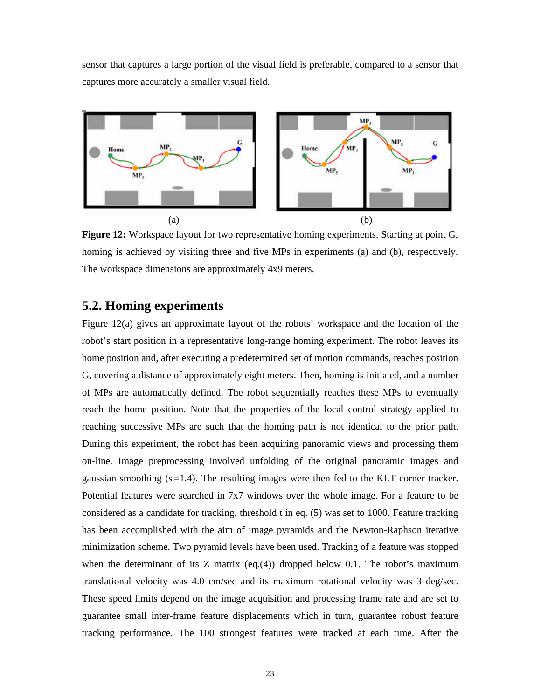sensor that captures a large portion of the visual field is preferable, compared to a sensor that captures more accurately a smaller visual field.



**Figure 12:** Workspace layout for two representative homing experiments. Starting at point G, homing is achieved by visiting three and five MPs in experiments (a) and (b), respectively. The workspace dimensions are approximately 4x9 meters.

### **5.2. Homing experiments**

Figure 12(a) gives an approximate layout of the robots' workspace and the location of the robot's start position in a representative long-range homing experiment. The robot leaves its home position and, after executing a predetermined set of motion commands, reaches position G, covering a distance of approximately eight meters. Then, homing is initiated, and a number of MPs are automatically defined. The robot sequentially reaches these MPs to eventually reach the home position. Note that the properties of the local control strategy applied to reaching successive MPs are such that the homing path is not identical to the prior path. During this experiment, the robot has been acquiring panoramic views and processing them on-line. Image preprocessing involved unfolding of the original panoramic images and gaussian smoothing  $(s=1.4)$ . The resulting images were then fed to the KLT corner tracker. Potential features were searched in 7x7 windows over the whole image. For a feature to be considered as a candidate for tracking, threshold t in eq. (5) was set to 1000. Feature tracking has been accomplished with the aim of image pyramids and the Newton-Raphson iterative minimization scheme. Two pyramid levels have been used. Tracking of a feature was stopped when the determinant of its  $Z$  matrix (eq.(4)) dropped below 0.1. The robot's maximum translational velocity was 4.0 cm/sec and its maximum rotational velocity was 3 deg/sec. These speed limits depend on the image acquisition and processing frame rate and are set to guarantee small inter-frame feature displacements which in turn, guarantee robust feature tracking performance. The 100 strongest features were tracked at each time. After the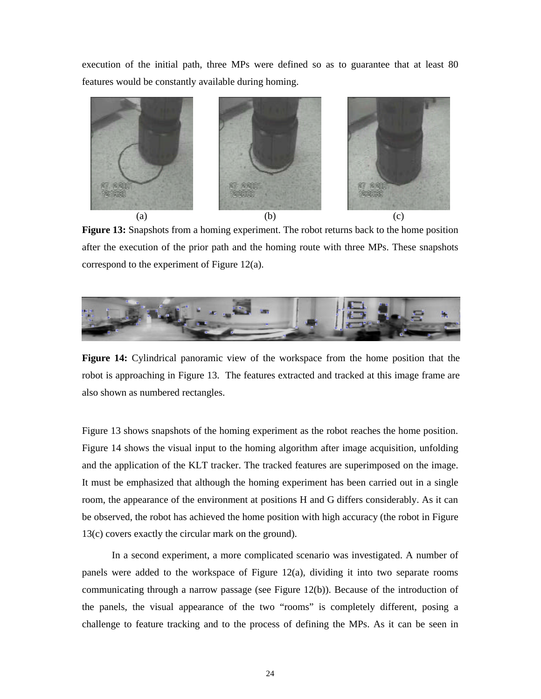execution of the initial path, three MPs were defined so as to guarantee that at least 80 features would be constantly available during homing.



**Figure 13:** Snapshots from a homing experiment. The robot returns back to the home position after the execution of the prior path and the homing route with three MPs. These snapshots correspond to the experiment of Figure 12(a).



**Figure 14:** Cylindrical panoramic view of the workspace from the home position that the robot is approaching in Figure 13. The features extracted and tracked at this image frame are also shown as numbered rectangles.

Figure 13 shows snapshots of the homing experiment as the robot reaches the home position. Figure 14 shows the visual input to the homing algorithm after image acquisition, unfolding and the application of the KLT tracker. The tracked features are superimposed on the image. It must be emphasized that although the homing experiment has been carried out in a single room, the appearance of the environment at positions H and G differs considerably. As it can be observed, the robot has achieved the home position with high accuracy (the robot in Figure 13(c) covers exactly the circular mark on the ground).

In a second experiment, a more complicated scenario was investigated. A number of panels were added to the workspace of Figure 12(a), dividing it into two separate rooms communicating through a narrow passage (see Figure 12(b)). Because of the introduction of the panels, the visual appearance of the two "rooms" is completely different, posing a challenge to feature tracking and to the process of defining the MPs. As it can be seen in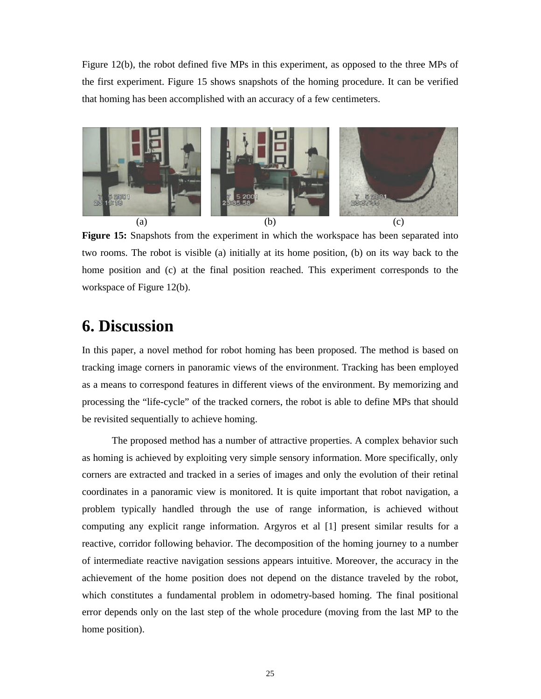Figure 12(b), the robot defined five MPs in this experiment, as opposed to the three MPs of the first experiment. Figure 15 shows snapshots of the homing procedure. It can be verified that homing has been accomplished with an accuracy of a few centimeters.



**Figure 15:** Snapshots from the experiment in which the workspace has been separated into two rooms. The robot is visible (a) initially at its home position, (b) on its way back to the home position and (c) at the final position reached. This experiment corresponds to the workspace of Figure 12(b).

## **6. Discussion**

In this paper, a novel method for robot homing has been proposed. The method is based on tracking image corners in panoramic views of the environment. Tracking has been employed as a means to correspond features in different views of the environment. By memorizing and processing the "life-cycle" of the tracked corners, the robot is able to define MPs that should be revisited sequentially to achieve homing.

The proposed method has a number of attractive properties. A complex behavior such as homing is achieved by exploiting very simple sensory information. More specifically, only corners are extracted and tracked in a series of images and only the evolution of their retinal coordinates in a panoramic view is monitored. It is quite important that robot navigation, a problem typically handled through the use of range information, is achieved without computing any explicit range information. Argyros et al [1] present similar results for a reactive, corridor following behavior. The decomposition of the homing journey to a number of intermediate reactive navigation sessions appears intuitive. Moreover, the accuracy in the achievement of the home position does not depend on the distance traveled by the robot, which constitutes a fundamental problem in odometry-based homing. The final positional error depends only on the last step of the whole procedure (moving from the last MP to the home position).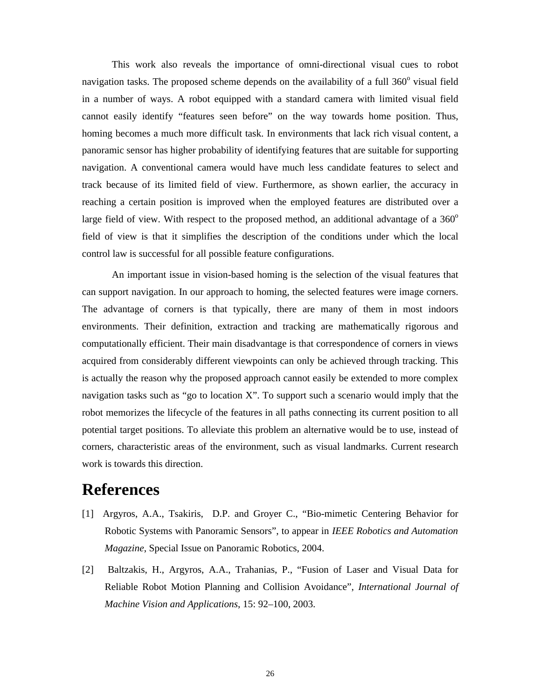This work also reveals the importance of omni-directional visual cues to robot navigation tasks. The proposed scheme depends on the availability of a full  $360^{\circ}$  visual field in a number of ways. A robot equipped with a standard camera with limited visual field cannot easily identify "features seen before" on the way towards home position. Thus, homing becomes a much more difficult task. In environments that lack rich visual content, a panoramic sensor has higher probability of identifying features that are suitable for supporting navigation. A conventional camera would have much less candidate features to select and track because of its limited field of view. Furthermore, as shown earlier, the accuracy in reaching a certain position is improved when the employed features are distributed over a large field of view. With respect to the proposed method, an additional advantage of a  $360^{\circ}$ field of view is that it simplifies the description of the conditions under which the local control law is successful for all possible feature configurations.

An important issue in vision-based homing is the selection of the visual features that can support navigation. In our approach to homing, the selected features were image corners. The advantage of corners is that typically, there are many of them in most indoors environments. Their definition, extraction and tracking are mathematically rigorous and computationally efficient. Their main disadvantage is that correspondence of corners in views acquired from considerably different viewpoints can only be achieved through tracking. This is actually the reason why the proposed approach cannot easily be extended to more complex navigation tasks such as "go to location X". To support such a scenario would imply that the robot memorizes the lifecycle of the features in all paths connecting its current position to all potential target positions. To alleviate this problem an alternative would be to use, instead of corners, characteristic areas of the environment, such as visual landmarks. Current research work is towards this direction.

### **References**

- [1] Argyros, A.A., Tsakiris, D.P. and Groyer C., "Bio-mimetic Centering Behavior for Robotic Systems with Panoramic Sensors", to appear in *IEEE Robotics and Automation Magazine*, Special Issue on Panoramic Robotics, 2004.
- [2] Baltzakis, H., Argyros, A.A., Trahanias, P., "Fusion of Laser and Visual Data for Reliable Robot Motion Planning and Collision Avoidance", *International Journal of Machine Vision and Applications*, 15: 92–100, 2003.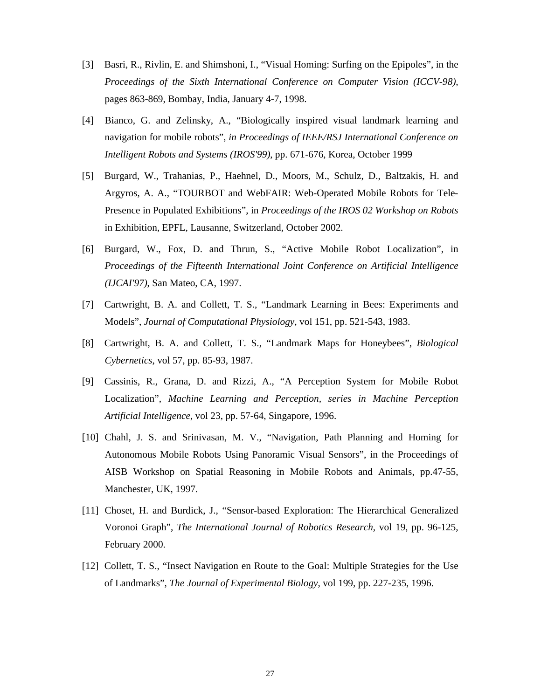- [3] Basri, R., Rivlin, E. and Shimshoni, I., "Visual Homing: Surfing on the Epipoles", in the *Proceedings of the Sixth International Conference on Computer Vision (ICCV-98)*, pages 863-869, Bombay, India, January 4-7, 1998.
- [4] Bianco, G. and Zelinsky, A., "Biologically inspired visual landmark learning and navigation for mobile robots", *in Proceedings of IEEE/RSJ International Conference on Intelligent Robots and Systems (IROS'99)*, pp. 671-676, Korea, October 1999
- [5] Burgard, W., Trahanias, P., Haehnel, D., Moors, M., Schulz, D., Baltzakis, H. and Argyros, A. A., "TOURBOT and WebFAIR: Web-Operated Mobile Robots for Tele-Presence in Populated Exhibitions", in *Proceedings of the IROS 02 Workshop on Robots*  in Exhibition, EPFL, Lausanne, Switzerland, October 2002.
- [6] Burgard, W., Fox, D. and Thrun, S., "Active Mobile Robot Localization", in *Proceedings of the Fifteenth International Joint Conference on Artificial Intelligence (IJCAI'97)*, San Mateo, CA, 1997.
- [7] Cartwright, B. A. and Collett, T. S., "Landmark Learning in Bees: Experiments and Models", *Journal of Computational Physiology*, vol 151, pp. 521-543, 1983.
- [8] Cartwright, B. A. and Collett, T. S., "Landmark Maps for Honeybees", *Biological Cybernetics*, vol 57, pp. 85-93, 1987.
- [9] Cassinis, R., Grana, D. and Rizzi, A., "A Perception System for Mobile Robot Localization", *Machine Learning and Perception, series in Machine Perception Artificial Intelligence*, vol 23, pp. 57-64, Singapore, 1996.
- [10] Chahl, J. S. and Srinivasan, M. V., "Navigation, Path Planning and Homing for Autonomous Mobile Robots Using Panoramic Visual Sensors", in the Proceedings of AISB Workshop on Spatial Reasoning in Mobile Robots and Animals, pp.47-55, Manchester, UK, 1997.
- [11] Choset, H. and Burdick, J., "Sensor-based Exploration: The Hierarchical Generalized Voronoi Graph", *The International Journal of Robotics Research*, vol 19, pp. 96-125, February 2000.
- [12] Collett, T. S., "Insect Navigation en Route to the Goal: Multiple Strategies for the Use of Landmarks", *The Journal of Experimental Biology*, vol 199, pp. 227-235, 1996.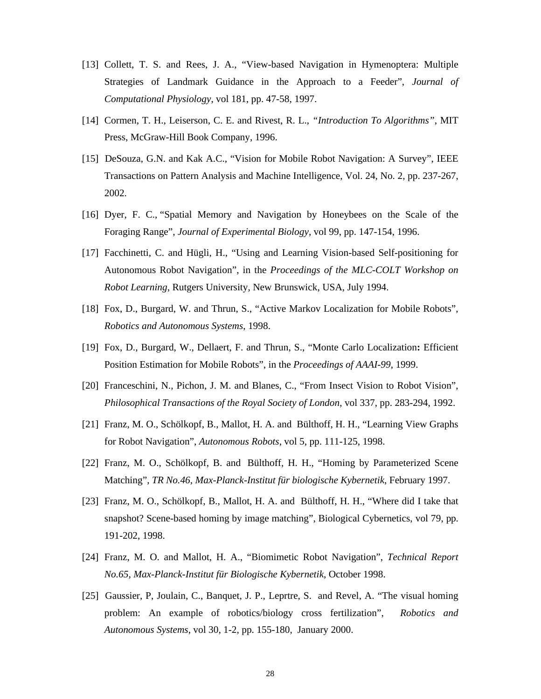- [13] Collett, T. S. and Rees, J. A., "View-based Navigation in Hymenoptera: Multiple Strategies of Landmark Guidance in the Approach to a Feeder", *Journal of Computational Physiology*, vol 181, pp. 47-58, 1997.
- [14] Cormen, T. H., Leiserson, C. E. and Rivest, R. L., *"Introduction To Algorithms"*, MIT Press, McGraw-Hill Book Company, 1996.
- [15] DeSouza, G.N. and Kak A.C., "Vision for Mobile Robot Navigation: A Survey", IEEE Transactions on Pattern Analysis and Machine Intelligence, Vol. 24, No. 2, pp. 237-267, 2002.
- [16] Dyer, F. C., "Spatial Memory and Navigation by Honeybees on the Scale of the Foraging Range", *Journal of Experimental Biology*, vol 99, pp. 147-154, 1996.
- [17] Facchinetti, C. and Hügli, H., "Using and Learning Vision-based Self-positioning for Autonomous Robot Navigation", in the *Proceedings of the MLC-COLT Workshop on Robot Learning*, Rutgers University, New Brunswick, USA, July 1994.
- [18] Fox, D., Burgard, W. and Thrun, S., "Active Markov Localization for Mobile Robots", *Robotics and Autonomous Systems*, 1998.
- [19] Fox, D., Burgard, W., Dellaert, F. and Thrun, S., "Monte Carlo Localization**:** Efficient Position Estimation for Mobile Robots", in the *Proceedings of AAAI-99*, 1999.
- [20] Franceschini, N., Pichon, J. M. and Blanes, C., "From Insect Vision to Robot Vision", *Philosophical Transactions of the Royal Society of London*, vol 337, pp. 283-294, 1992.
- [21] Franz, M. O., Schölkopf, B., Mallot, H. A. and Bülthoff, H. H., "Learning View Graphs for Robot Navigation", *Autonomous Robots*, vol 5, pp. 111-125, 1998.
- [22] Franz, M. O., Schölkopf, B. and Bülthoff, H. H., "Homing by Parameterized Scene Matching", *TR No.46, Max-Planck-Institut für biologische Kybernetik*, February 1997.
- [23] Franz, M. O., Schölkopf, B., Mallot, H. A. and Bülthoff, H. H., "Where did I take that snapshot? Scene-based homing by image matching", Biological Cybernetics, vol 79, pp. 191-202, 1998.
- [24] Franz, M. O. and Mallot, H. A., "Biomimetic Robot Navigation", *Technical Report No.65, Max-Planck-Institut für Biologische Kybernetik*, October 1998.
- [25] Gaussier, P, Joulain, C., Banquet, J. P., Leprtre, S. and Revel, A. "The visual homing problem: An example of robotics/biology cross fertilization", *Robotics and Autonomous Systems*, vol 30, 1-2, pp. 155-180, January 2000.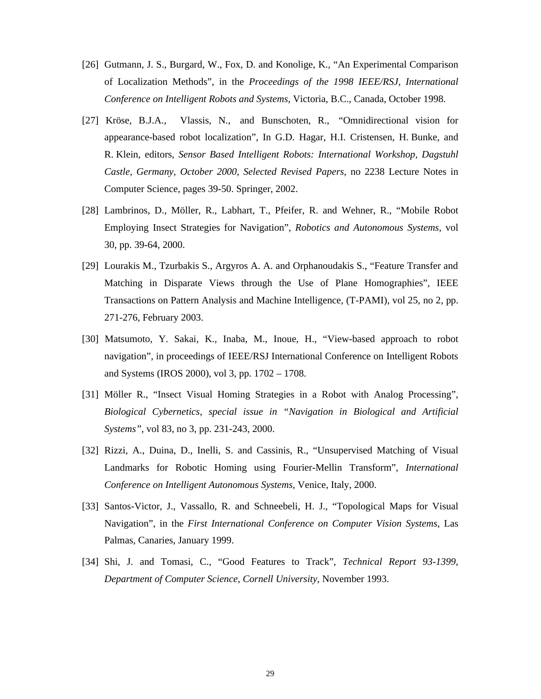- [26] Gutmann, J. S., Burgard, W., Fox, D. and Konolige, K., "An Experimental Comparison of Localization Methods", in the *Proceedings of the 1998 IEEE/RSJ, International Conference on Intelligent Robots and Systems*, Victoria, B.C., Canada, October 1998.
- [27] Kröse, B.J.A., Vlassis, N., and Bunschoten, R., "Omnidirectional vision for appearance-based robot localization", In G.D. Hagar, H.I. Cristensen, H. Bunke, and R. Klein, editors, *Sensor Based Intelligent Robots: International Workshop, Dagstuhl Castle, Germany, October 2000, Selected Revised Papers*, no 2238 Lecture Notes in Computer Science, pages 39-50. Springer, 2002.
- [28] Lambrinos, D., Möller, R., Labhart, T., Pfeifer, R. and Wehner, R., "Mobile Robot Employing Insect Strategies for Navigation", *Robotics and Autonomous Systems*, vol 30, pp. 39-64, 2000.
- [29] Lourakis M., Tzurbakis S., Argyros A. A. and Orphanoudakis S., "Feature Transfer and Matching in Disparate Views through the Use of Plane Homographies", IEEE Transactions on Pattern Analysis and Machine Intelligence, (T-PAMI), vol 25, no 2, pp. 271-276, February 2003.
- [30] Matsumoto, Y. Sakai, K., Inaba, M., Inoue, H., "View-based approach to robot navigation", in proceedings of IEEE/RSJ International Conference on Intelligent Robots and Systems (IROS 2000), vol 3, pp. 1702 – 1708.
- [31] Möller R., "Insect Visual Homing Strategies in a Robot with Analog Processing", *Biological Cybernetics, special issue in "Navigation in Biological and Artificial Systems"*, vol 83, no 3, pp. 231-243, 2000.
- [32] Rizzi, A., Duina, D., Inelli, S. and Cassinis, R., "Unsupervised Matching of Visual Landmarks for Robotic Homing using Fourier-Mellin Transform", *International Conference on Intelligent Autonomous Systems*, Venice, Italy, 2000.
- [33] Santos-Victor, J., Vassallo, R. and Schneebeli, H. J., "Topological Maps for Visual Navigation", in the *First International Conference on Computer Vision Systems*, Las Palmas, Canaries, January 1999.
- [34] Shi, J. and Tomasi, C., "Good Features to Track", *Technical Report 93-1399, Department of Computer Science, Cornell University*, November 1993.